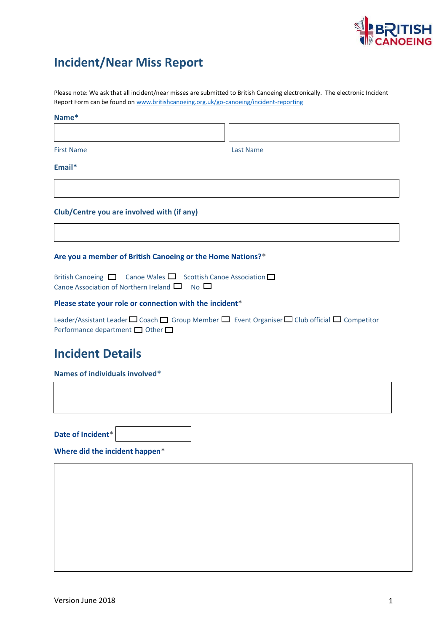

## **Incident/Near Miss Report**

Please note: We ask that all incident/near misses are submitted to British Canoeing electronically. The electronic Incident Report Form can be found o[n www.britishcanoeing.org.uk/go-canoeing/incident-reporting](http://www.britishcanoeing.org.uk/go-canoeing/incident-reporting)

# **Name\***

First Name Last Name

**Email\***

#### **Club/Centre you are involved with (if any)**

#### **Are you a member of British Canoeing or the Home Nations?\***

British Canoeing  $\Box$  Canoe Wales  $\Box$  Scottish Canoe Association  $\Box$ Canoe Association of Northern Ireland  $\Box$  No  $\Box$ 

#### **Please state your role or connection with the incident\***

Leader/Assistant Leader  $\Box$  Coach  $\Box$  Group Member  $\Box$  Event Organiser  $\Box$  Club official  $\Box$  Competitor Performance department  $\Box$  Other  $\Box$ 

### **Incident Details**

**Names of individuals involved\***

**Date of Incident\***

**Where did the incident happen\***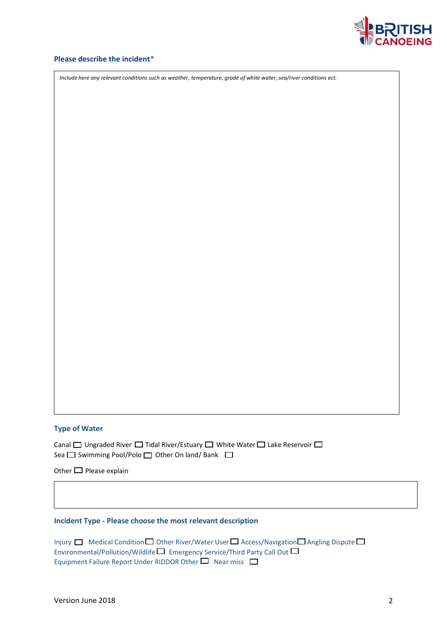

#### **Please describe the incident\***

*Include here any relevant conditions such as weather, temperature, grade of white water, sea/river conditions ect.*

#### **Type of Water**

Canal  $\Box$  Ungraded River  $\Box$  Tidal River/Estuary  $\Box$  White Water  $\Box$  Lake Reservoir  $\Box$ Sea  $\square$  Swimming Pool/Polo  $\square$  Other On land/ Bank  $\square$ 

Other  $\Box$  Please explain

#### **Incident Type - Please choose the most relevant description**

Injury  $\Box$  Medical Condition  $\Box$  Other River/Water User  $\Box$  Access/Navigation  $\Box$  Angling Dispute  $\Box$ Environmental/Pollution/Wildlife  $\square$  Emergency Service/Third Party Call Out  $\square$ Equipment Failure Report Under RIDDOR Other  $\Box$  Near miss  $\Box$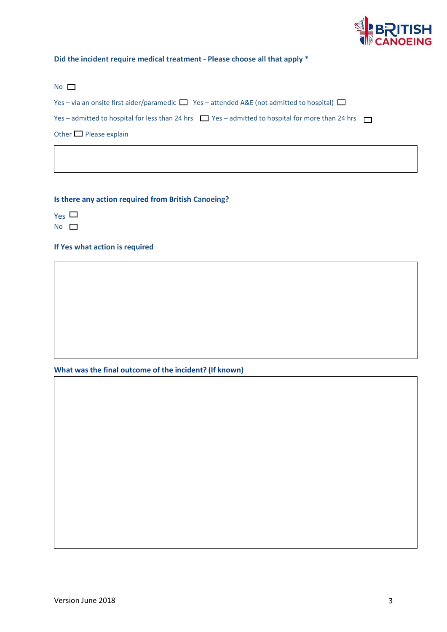

#### **Did the incident require medical treatment - Please choose all that apply \***

#### No **D**

Yes – via an onsite first aider/paramedic  $\Box$  Yes – attended A&E (not admitted to hospital)  $\Box$ 

Yes – admitted to hospital for less than 24 hrs  $\Box$  Yes – admitted to hospital for more than 24 hrs  $\Box$ 

Other  $\Box$  Please explain

#### **Is there any action required from British Canoeing?**

 $Yes$   $\square$ 

No  $\Box$ 

#### **If Yes what action is required**

**What was the final outcome of the incident? (If known)**